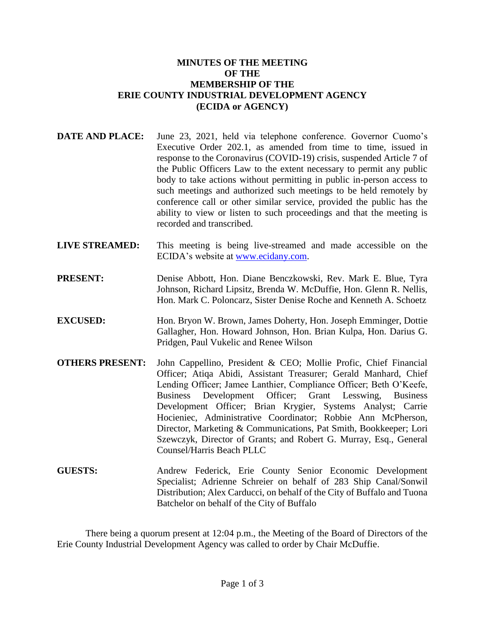# **MINUTES OF THE MEETING OF THE MEMBERSHIP OF THE ERIE COUNTY INDUSTRIAL DEVELOPMENT AGENCY (ECIDA or AGENCY)**

- **DATE AND PLACE:** June 23, 2021, held via telephone conference. Governor Cuomo's Executive Order 202.1, as amended from time to time, issued in response to the Coronavirus (COVID-19) crisis, suspended Article 7 of the Public Officers Law to the extent necessary to permit any public body to take actions without permitting in public in-person access to such meetings and authorized such meetings to be held remotely by conference call or other similar service, provided the public has the ability to view or listen to such proceedings and that the meeting is recorded and transcribed.
- **LIVE STREAMED:** This meeting is being live-streamed and made accessible on the ECIDA's website at [www.ecidany.com.](http://www.ecidany.com/)
- **PRESENT:** Denise Abbott, Hon. Diane Benczkowski, Rev. Mark E. Blue, Tyra Johnson, Richard Lipsitz, Brenda W. McDuffie, Hon. Glenn R. Nellis, Hon. Mark C. Poloncarz, Sister Denise Roche and Kenneth A. Schoetz
- **EXCUSED:** Hon. Bryon W. Brown, James Doherty, Hon. Joseph Emminger, Dottie Gallagher, Hon. Howard Johnson, Hon. Brian Kulpa, Hon. Darius G. Pridgen, Paul Vukelic and Renee Wilson
- **OTHERS PRESENT:** John Cappellino, President & CEO; Mollie Profic, Chief Financial Officer; Atiqa Abidi, Assistant Treasurer; Gerald Manhard, Chief Lending Officer; Jamee Lanthier, Compliance Officer; Beth O'Keefe, Business Development Officer; Grant Lesswing, Business Development Officer; Brian Krygier, Systems Analyst; Carrie Hocieniec, Administrative Coordinator; Robbie Ann McPherson, Director, Marketing & Communications, Pat Smith, Bookkeeper; Lori Szewczyk, Director of Grants; and Robert G. Murray, Esq., General Counsel/Harris Beach PLLC
- **GUESTS:** Andrew Federick, Erie County Senior Economic Development Specialist; Adrienne Schreier on behalf of 283 Ship Canal/Sonwil Distribution; Alex Carducci, on behalf of the City of Buffalo and Tuona Batchelor on behalf of the City of Buffalo

There being a quorum present at 12:04 p.m., the Meeting of the Board of Directors of the Erie County Industrial Development Agency was called to order by Chair McDuffie.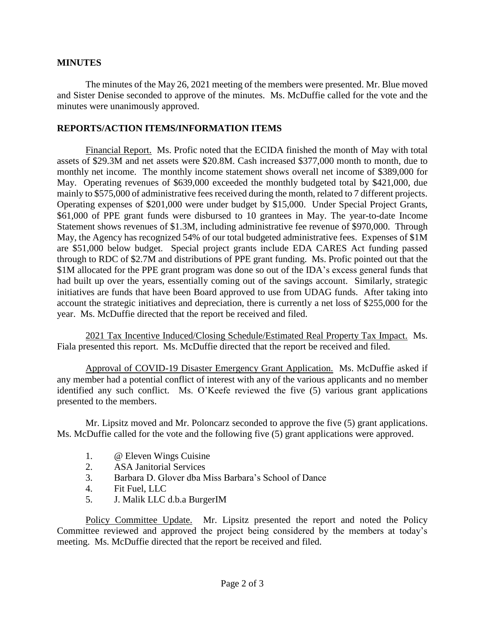# **MINUTES**

The minutes of the May 26, 2021 meeting of the members were presented. Mr. Blue moved and Sister Denise seconded to approve of the minutes. Ms. McDuffie called for the vote and the minutes were unanimously approved.

#### **REPORTS/ACTION ITEMS/INFORMATION ITEMS**

Financial Report. Ms. Profic noted that the ECIDA finished the month of May with total assets of \$29.3M and net assets were \$20.8M. Cash increased \$377,000 month to month, due to monthly net income. The monthly income statement shows overall net income of \$389,000 for May. Operating revenues of \$639,000 exceeded the monthly budgeted total by \$421,000, due mainly to \$575,000 of administrative fees received during the month, related to 7 different projects. Operating expenses of \$201,000 were under budget by \$15,000. Under Special Project Grants, \$61,000 of PPE grant funds were disbursed to 10 grantees in May. The year-to-date Income Statement shows revenues of \$1.3M, including administrative fee revenue of \$970,000. Through May, the Agency has recognized 54% of our total budgeted administrative fees. Expenses of \$1M are \$51,000 below budget. Special project grants include EDA CARES Act funding passed through to RDC of \$2.7M and distributions of PPE grant funding. Ms. Profic pointed out that the \$1M allocated for the PPE grant program was done so out of the IDA's excess general funds that had built up over the years, essentially coming out of the savings account. Similarly, strategic initiatives are funds that have been Board approved to use from UDAG funds. After taking into account the strategic initiatives and depreciation, there is currently a net loss of \$255,000 for the year. Ms. McDuffie directed that the report be received and filed.

2021 Tax Incentive Induced/Closing Schedule/Estimated Real Property Tax Impact. Ms. Fiala presented this report. Ms. McDuffie directed that the report be received and filed.

Approval of COVID-19 Disaster Emergency Grant Application. Ms. McDuffie asked if any member had a potential conflict of interest with any of the various applicants and no member identified any such conflict. Ms. O'Keefe reviewed the five (5) various grant applications presented to the members.

Mr. Lipsitz moved and Mr. Poloncarz seconded to approve the five (5) grant applications. Ms. McDuffie called for the vote and the following five (5) grant applications were approved.

- 1. @ Eleven Wings Cuisine
- 2. ASA Janitorial Services
- 3. Barbara D. Glover dba Miss Barbara's School of Dance
- 4. Fit Fuel, LLC
- 5. J. Malik LLC d.b.a BurgerIM

Policy Committee Update. Mr. Lipsitz presented the report and noted the Policy Committee reviewed and approved the project being considered by the members at today's meeting. Ms. McDuffie directed that the report be received and filed.